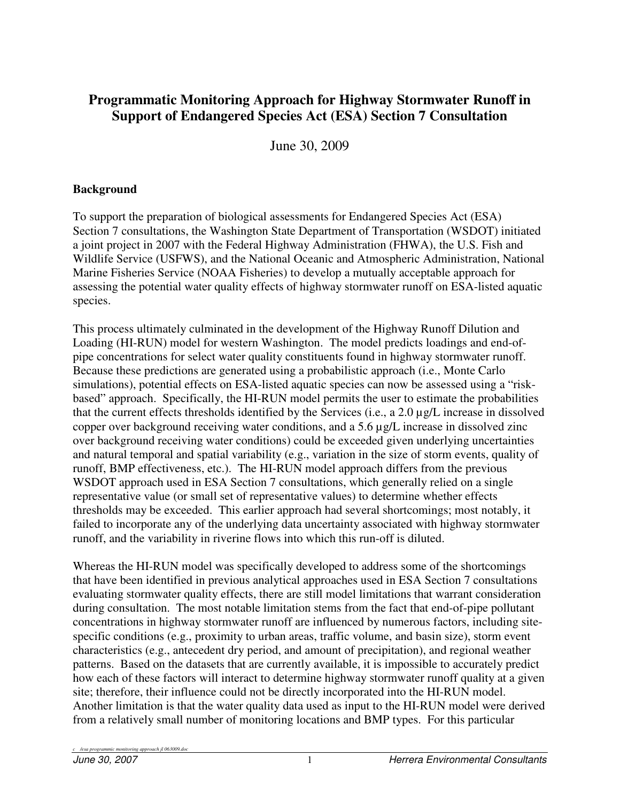# **Programmatic Monitoring Approach for Highway Stormwater Runoff in Support of Endangered Species Act (ESA) Section 7 Consultation**

June 30, 2009

#### **Background**

To support the preparation of biological assessments for Endangered Species Act (ESA) Section 7 consultations, the Washington State Department of Transportation (WSDOT) initiated a joint project in 2007 with the Federal Highway Administration (FHWA), the U.S. Fish and Wildlife Service (USFWS), and the National Oceanic and Atmospheric Administration, National Marine Fisheries Service (NOAA Fisheries) to develop a mutually acceptable approach for assessing the potential water quality effects of highway stormwater runoff on ESA-listed aquatic species.

This process ultimately culminated in the development of the Highway Runoff Dilution and Loading (HI-RUN) model for western Washington. The model predicts loadings and end-ofpipe concentrations for select water quality constituents found in highway stormwater runoff. Because these predictions are generated using a probabilistic approach (i.e., Monte Carlo simulations), potential effects on ESA-listed aquatic species can now be assessed using a "riskbased" approach. Specifically, the HI-RUN model permits the user to estimate the probabilities that the current effects thresholds identified by the Services (i.e., a 2.0 µg/L increase in dissolved copper over background receiving water conditions, and a 5.6 µg/L increase in dissolved zinc over background receiving water conditions) could be exceeded given underlying uncertainties and natural temporal and spatial variability (e.g., variation in the size of storm events, quality of runoff, BMP effectiveness, etc.). The HI-RUN model approach differs from the previous WSDOT approach used in ESA Section 7 consultations, which generally relied on a single representative value (or small set of representative values) to determine whether effects thresholds may be exceeded. This earlier approach had several shortcomings; most notably, it failed to incorporate any of the underlying data uncertainty associated with highway stormwater runoff, and the variability in riverine flows into which this run-off is diluted.

Whereas the HI-RUN model was specifically developed to address some of the shortcomings that have been identified in previous analytical approaches used in ESA Section 7 consultations evaluating stormwater quality effects, there are still model limitations that warrant consideration during consultation. The most notable limitation stems from the fact that end-of-pipe pollutant concentrations in highway stormwater runoff are influenced by numerous factors, including sitespecific conditions (e.g., proximity to urban areas, traffic volume, and basin size), storm event characteristics (e.g., antecedent dry period, and amount of precipitation), and regional weather patterns. Based on the datasets that are currently available, it is impossible to accurately predict how each of these factors will interact to determine highway stormwater runoff quality at a given site; therefore, their influence could not be directly incorporated into the HI-RUN model. Another limitation is that the water quality data used as input to the HI-RUN model were derived from a relatively small number of monitoring locations and BMP types. For this particular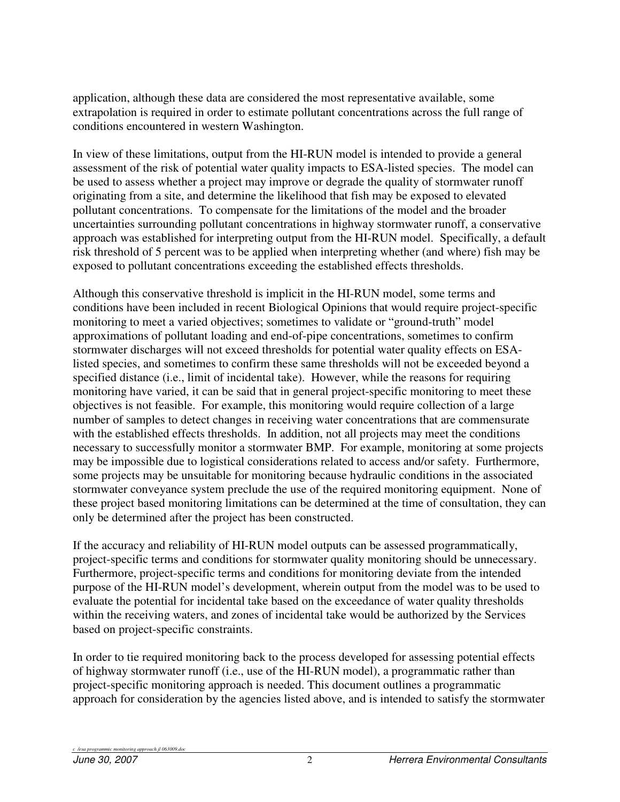application, although these data are considered the most representative available, some extrapolation is required in order to estimate pollutant concentrations across the full range of conditions encountered in western Washington.

In view of these limitations, output from the HI-RUN model is intended to provide a general assessment of the risk of potential water quality impacts to ESA-listed species. The model can be used to assess whether a project may improve or degrade the quality of stormwater runoff originating from a site, and determine the likelihood that fish may be exposed to elevated pollutant concentrations. To compensate for the limitations of the model and the broader uncertainties surrounding pollutant concentrations in highway stormwater runoff, a conservative approach was established for interpreting output from the HI-RUN model. Specifically, a default risk threshold of 5 percent was to be applied when interpreting whether (and where) fish may be exposed to pollutant concentrations exceeding the established effects thresholds.

Although this conservative threshold is implicit in the HI-RUN model, some terms and conditions have been included in recent Biological Opinions that would require project-specific monitoring to meet a varied objectives; sometimes to validate or "ground-truth" model approximations of pollutant loading and end-of-pipe concentrations, sometimes to confirm stormwater discharges will not exceed thresholds for potential water quality effects on ESAlisted species, and sometimes to confirm these same thresholds will not be exceeded beyond a specified distance (i.e., limit of incidental take). However, while the reasons for requiring monitoring have varied, it can be said that in general project-specific monitoring to meet these objectives is not feasible. For example, this monitoring would require collection of a large number of samples to detect changes in receiving water concentrations that are commensurate with the established effects thresholds. In addition, not all projects may meet the conditions necessary to successfully monitor a stormwater BMP. For example, monitoring at some projects may be impossible due to logistical considerations related to access and/or safety. Furthermore, some projects may be unsuitable for monitoring because hydraulic conditions in the associated stormwater conveyance system preclude the use of the required monitoring equipment. None of these project based monitoring limitations can be determined at the time of consultation, they can only be determined after the project has been constructed.

If the accuracy and reliability of HI-RUN model outputs can be assessed programmatically, project-specific terms and conditions for stormwater quality monitoring should be unnecessary. Furthermore, project-specific terms and conditions for monitoring deviate from the intended purpose of the HI-RUN model's development, wherein output from the model was to be used to evaluate the potential for incidental take based on the exceedance of water quality thresholds within the receiving waters, and zones of incidental take would be authorized by the Services based on project-specific constraints.

In order to tie required monitoring back to the process developed for assessing potential effects of highway stormwater runoff (i.e., use of the HI-RUN model), a programmatic rather than project-specific monitoring approach is needed. This document outlines a programmatic approach for consideration by the agencies listed above, and is intended to satisfy the stormwater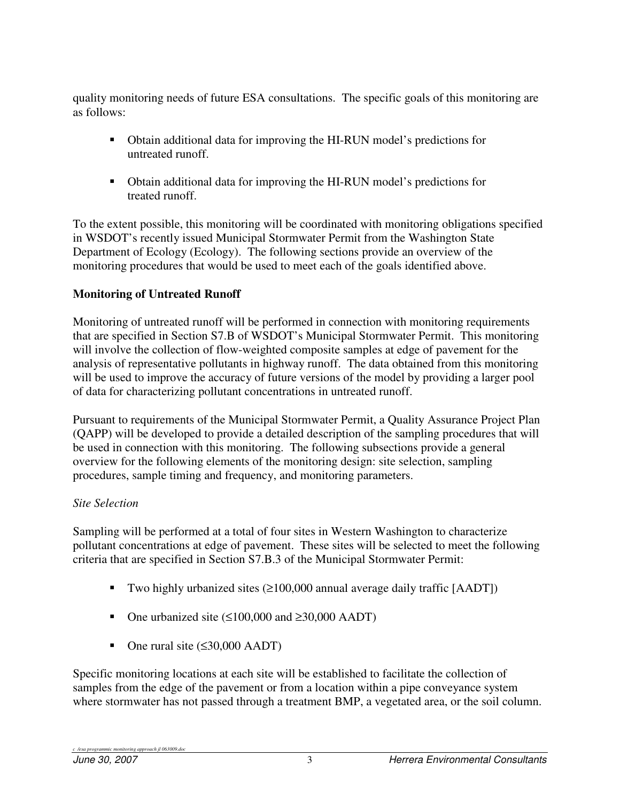quality monitoring needs of future ESA consultations. The specific goals of this monitoring are as follows:

- Obtain additional data for improving the HI-RUN model's predictions for untreated runoff.
- Obtain additional data for improving the HI-RUN model's predictions for treated runoff.

To the extent possible, this monitoring will be coordinated with monitoring obligations specified in WSDOT's recently issued Municipal Stormwater Permit from the Washington State Department of Ecology (Ecology). The following sections provide an overview of the monitoring procedures that would be used to meet each of the goals identified above.

### **Monitoring of Untreated Runoff**

Monitoring of untreated runoff will be performed in connection with monitoring requirements that are specified in Section S7.B of WSDOT's Municipal Stormwater Permit. This monitoring will involve the collection of flow-weighted composite samples at edge of pavement for the analysis of representative pollutants in highway runoff. The data obtained from this monitoring will be used to improve the accuracy of future versions of the model by providing a larger pool of data for characterizing pollutant concentrations in untreated runoff.

Pursuant to requirements of the Municipal Stormwater Permit, a Quality Assurance Project Plan (QAPP) will be developed to provide a detailed description of the sampling procedures that will be used in connection with this monitoring. The following subsections provide a general overview for the following elements of the monitoring design: site selection, sampling procedures, sample timing and frequency, and monitoring parameters.

### *Site Selection*

Sampling will be performed at a total of four sites in Western Washington to characterize pollutant concentrations at edge of pavement. These sites will be selected to meet the following criteria that are specified in Section S7.B.3 of the Municipal Stormwater Permit:

- Two highly urbanized sites  $(\geq 100,000$  annual average daily traffic [AADT])
- One urbanized site  $(\leq 100,000$  and  $\geq 30,000$  AADT)
- One rural site  $(\leq 30,000 \text{ AADT})$

Specific monitoring locations at each site will be established to facilitate the collection of samples from the edge of the pavement or from a location within a pipe conveyance system where stormwater has not passed through a treatment BMP, a vegetated area, or the soil column.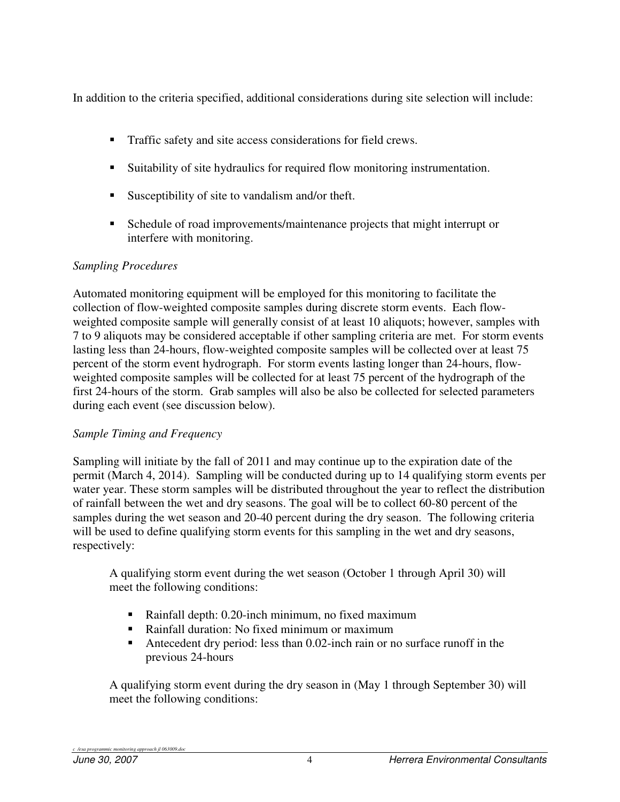In addition to the criteria specified, additional considerations during site selection will include:

- **Traffic safety and site access considerations for field crews.**
- Suitability of site hydraulics for required flow monitoring instrumentation.
- Susceptibility of site to vandalism and/or theft.
- Schedule of road improvements/maintenance projects that might interrupt or interfere with monitoring.

### *Sampling Procedures*

Automated monitoring equipment will be employed for this monitoring to facilitate the collection of flow-weighted composite samples during discrete storm events. Each flowweighted composite sample will generally consist of at least 10 aliquots; however, samples with 7 to 9 aliquots may be considered acceptable if other sampling criteria are met. For storm events lasting less than 24-hours, flow-weighted composite samples will be collected over at least 75 percent of the storm event hydrograph. For storm events lasting longer than 24-hours, flowweighted composite samples will be collected for at least 75 percent of the hydrograph of the first 24-hours of the storm. Grab samples will also be also be collected for selected parameters during each event (see discussion below).

## *Sample Timing and Frequency*

Sampling will initiate by the fall of 2011 and may continue up to the expiration date of the permit (March 4, 2014). Sampling will be conducted during up to 14 qualifying storm events per water year. These storm samples will be distributed throughout the year to reflect the distribution of rainfall between the wet and dry seasons. The goal will be to collect 60-80 percent of the samples during the wet season and 20-40 percent during the dry season. The following criteria will be used to define qualifying storm events for this sampling in the wet and dry seasons, respectively:

A qualifying storm event during the wet season (October 1 through April 30) will meet the following conditions:

- Rainfall depth: 0.20-inch minimum, no fixed maximum
- Rainfall duration: No fixed minimum or maximum<br>Antecedent drv neriod: less than 0.02-inch rain or n
- Antecedent dry period: less than 0.02-inch rain or no surface runoff in the previous 24-hours

A qualifying storm event during the dry season in (May 1 through September 30) will meet the following conditions: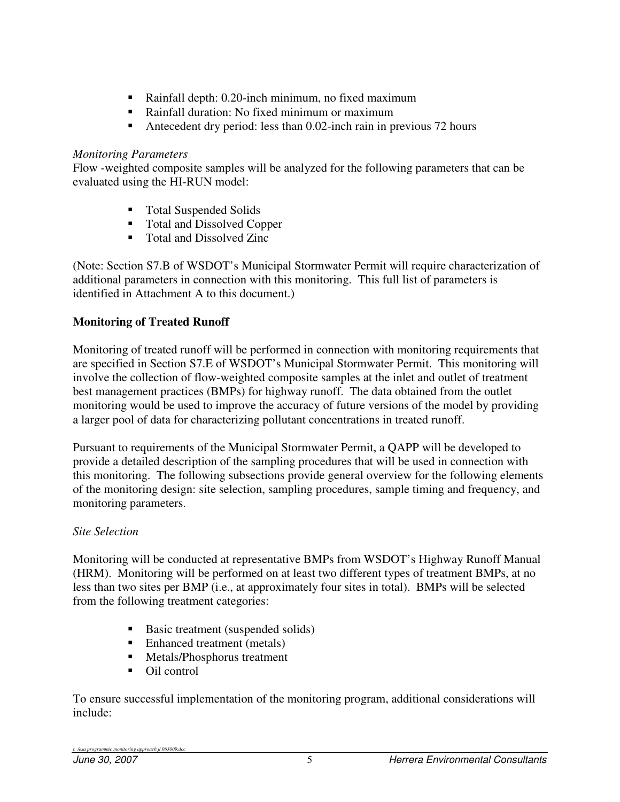- Rainfall depth: 0.20-inch minimum, no fixed maximum
- Rainfall duration: No fixed minimum or maximum
- Antecedent dry period: less than 0.02-inch rain in previous 72 hours

### *Monitoring Parameters*

Flow -weighted composite samples will be analyzed for the following parameters that can be evaluated using the HI-RUN model:

- Total Suspended Solids
- Total and Dissolved Copper
- Total and Dissolved Zinc

(Note: Section S7.B of WSDOT's Municipal Stormwater Permit will require characterization of additional parameters in connection with this monitoring. This full list of parameters is identified in Attachment A to this document.)

## **Monitoring of Treated Runoff**

Monitoring of treated runoff will be performed in connection with monitoring requirements that are specified in Section S7.E of WSDOT's Municipal Stormwater Permit. This monitoring will involve the collection of flow-weighted composite samples at the inlet and outlet of treatment best management practices (BMPs) for highway runoff. The data obtained from the outlet monitoring would be used to improve the accuracy of future versions of the model by providing a larger pool of data for characterizing pollutant concentrations in treated runoff.

Pursuant to requirements of the Municipal Stormwater Permit, a QAPP will be developed to provide a detailed description of the sampling procedures that will be used in connection with this monitoring. The following subsections provide general overview for the following elements of the monitoring design: site selection, sampling procedures, sample timing and frequency, and monitoring parameters.

## *Site Selection*

Monitoring will be conducted at representative BMPs from WSDOT's Highway Runoff Manual (HRM). Monitoring will be performed on at least two different types of treatment BMPs, at no less than two sites per BMP (i.e., at approximately four sites in total). BMPs will be selected from the following treatment categories:

- Basic treatment (suspended solids)
- Enhanced treatment (metals)
- **Metals/Phosphorus treatment**
- Oil control

To ensure successful implementation of the monitoring program, additional considerations will include: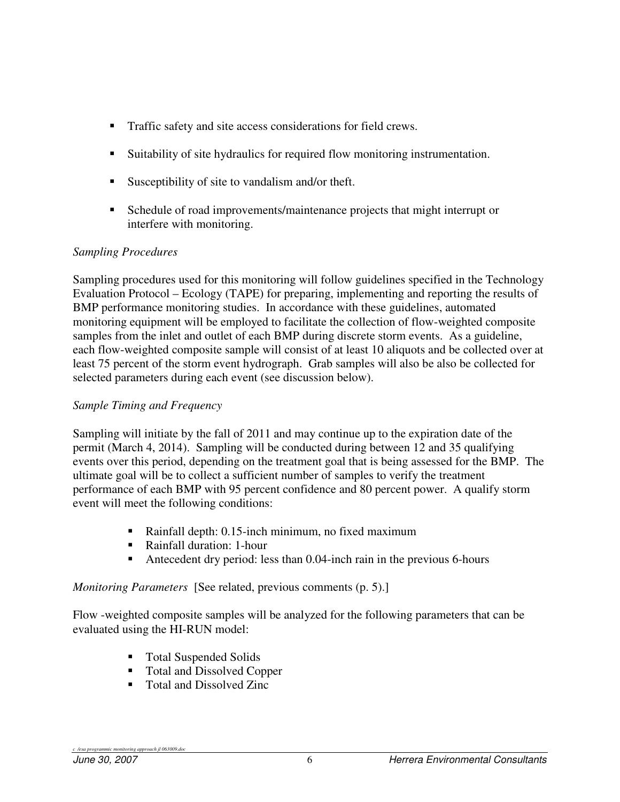- **Traffic safety and site access considerations for field crews.**
- Suitability of site hydraulics for required flow monitoring instrumentation.
- Susceptibility of site to vandalism and/or theft.
- Schedule of road improvements/maintenance projects that might interrupt or interfere with monitoring.

### *Sampling Procedures*

Sampling procedures used for this monitoring will follow guidelines specified in the Technology Evaluation Protocol – Ecology (TAPE) for preparing, implementing and reporting the results of BMP performance monitoring studies. In accordance with these guidelines, automated monitoring equipment will be employed to facilitate the collection of flow-weighted composite samples from the inlet and outlet of each BMP during discrete storm events. As a guideline, each flow-weighted composite sample will consist of at least 10 aliquots and be collected over at least 75 percent of the storm event hydrograph. Grab samples will also be also be collected for selected parameters during each event (see discussion below).

### *Sample Timing and Frequency*

Sampling will initiate by the fall of 2011 and may continue up to the expiration date of the permit (March 4, 2014). Sampling will be conducted during between 12 and 35 qualifying events over this period, depending on the treatment goal that is being assessed for the BMP. The ultimate goal will be to collect a sufficient number of samples to verify the treatment performance of each BMP with 95 percent confidence and 80 percent power. A qualify storm event will meet the following conditions:

- Rainfall depth: 0.15-inch minimum, no fixed maximum
- Rainfall duration: 1-hour
- Antecedent dry period: less than 0.04-inch rain in the previous 6-hours

### *Monitoring Parameters* [See related, previous comments (p. 5).]

Flow -weighted composite samples will be analyzed for the following parameters that can be evaluated using the HI-RUN model:

- Total Suspended Solids
- Total and Dissolved Copper
- Total and Dissolved Zinc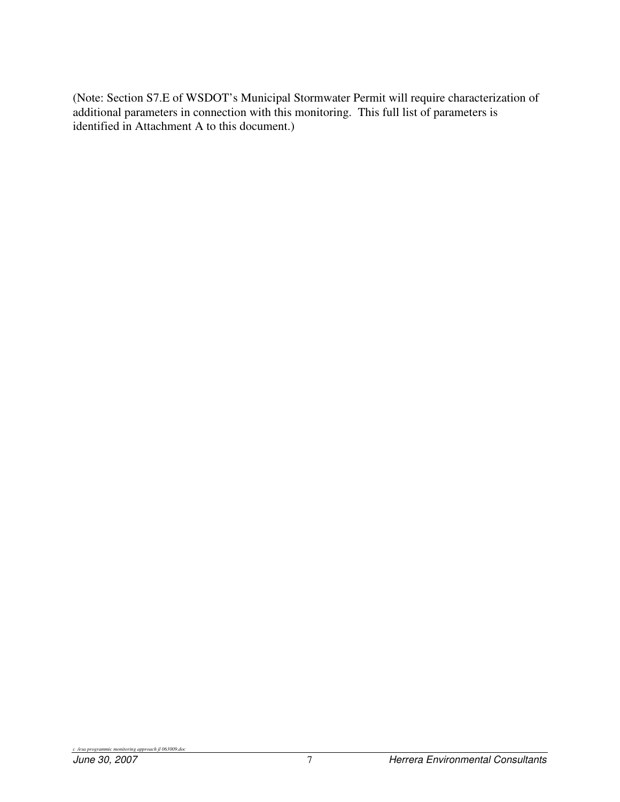(Note: Section S7.E of WSDOT's Municipal Stormwater Permit will require characterization of additional parameters in connection with this monitoring. This full list of parameters is identified in Attachment A to this document.)